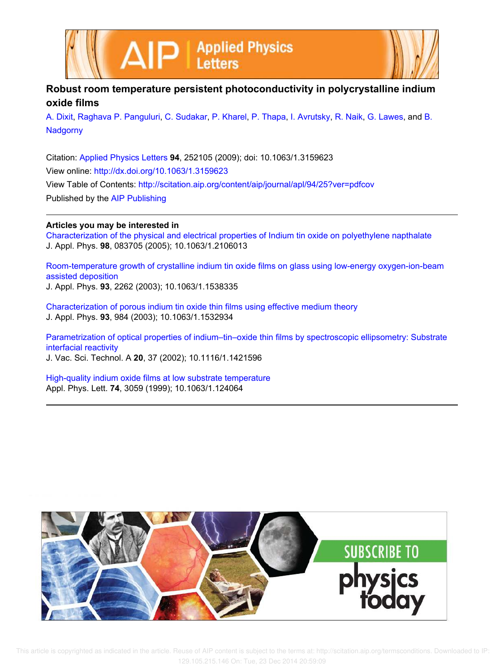



## **Robust room temperature persistent photoconductivity in polycrystalline indium oxide films**

A. Dixit, Raghava P. Panguluri, C. Sudakar, P. Kharel, P. Thapa, I. Avrutsky, R. Naik, G. Lawes, and B. **Nadgorny** 

Citation: Applied Physics Letters **94**, 252105 (2009); doi: 10.1063/1.3159623 View online: http://dx.doi.org/10.1063/1.3159623 View Table of Contents: http://scitation.aip.org/content/aip/journal/apl/94/25?ver=pdfcov Published by the AIP Publishing

## **Articles you may be interested in**

Characterization of the physical and electrical properties of Indium tin oxide on polyethylene napthalate J. Appl. Phys. **98**, 083705 (2005); 10.1063/1.2106013

Room-temperature growth of crystalline indium tin oxide films on glass using low-energy oxygen-ion-beam assisted deposition

J. Appl. Phys. **93**, 2262 (2003); 10.1063/1.1538335

Characterization of porous indium tin oxide thin films using effective medium theory J. Appl. Phys. **93**, 984 (2003); 10.1063/1.1532934

Parametrization of optical properties of indium–tin–oxide thin films by spectroscopic ellipsometry: Substrate interfacial reactivity

J. Vac. Sci. Technol. A **20**, 37 (2002); 10.1116/1.1421596

High-quality indium oxide films at low substrate temperature Appl. Phys. Lett. **74**, 3059 (1999); 10.1063/1.124064

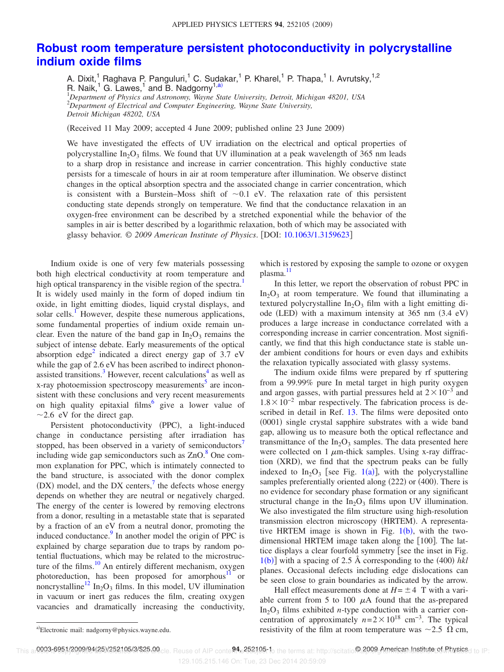## **Robust room temperature persistent photoconductivity in polycrystalline indium oxide films**

A. Dixit,<sup>1</sup> Raghava P. Panguluri,<sup>1</sup> C. Sudakar,<sup>1</sup> P. Kharel,<sup>1</sup> P. Thapa,<sup>1</sup> I. Avrutsky,<sup>1,2</sup> R. Naik,<sup>1</sup> G. Lawes,<sup>1</sup> and B. Nadgorny<sup>1,a)</sup> <sup>1</sup>*Department of Physics and Astronomy, Wayne State University, Detroit, Michigan 48201, USA*

<sup>2</sup>*Department of Electrical and Computer Engineering, Wayne State University, Detroit Michigan 48202, USA*

Received 11 May 2009; accepted 4 June 2009; published online 23 June 2009-

We have investigated the effects of UV irradiation on the electrical and optical properties of polycrystalline  $In_2O_3$  films. We found that UV illumination at a peak wavelength of 365 nm leads to a sharp drop in resistance and increase in carrier concentration. This highly conductive state persists for a timescale of hours in air at room temperature after illumination. We observe distinct changes in the optical absorption spectra and the associated change in carrier concentration, which is consistent with a Burstein–Moss shift of  $\sim 0.1$  eV. The relaxation rate of this persistent conducting state depends strongly on temperature. We find that the conductance relaxation in an oxygen-free environment can be described by a stretched exponential while the behavior of the samples in air is better described by a logarithmic relaxation, both of which may be associated with glassy behavior. © *2009 American Institute of Physics*. DOI: 10.1063/1.3159623

Indium oxide is one of very few materials possessing both high electrical conductivity at room temperature and high optical transparency in the visible region of the spectra.<sup>1</sup> It is widely used mainly in the form of doped indium tin oxide, in light emitting diodes, liquid crystal displays, and solar cells.<sup>1</sup> However, despite these numerous applications, some fundamental properties of indium oxide remain unclear. Even the nature of the band gap in  $In_2O_3$  remains the subject of intense debate. Early measurements of the optical absorption edge<sup>2</sup> indicated a direct energy gap of  $3.7 \text{ eV}$ while the gap of 2.6 eV has been ascribed to indirect phononassisted transitions.<sup>3</sup> However, recent calculations<sup>4</sup> as well as x-ray photoemission spectroscopy measurements<sup>5</sup> are inconsistent with these conclusions and very recent measurements on high quality epitaxial films  $6 \text{ gives a lower value of}$  $\sim$  2.6 eV for the direct gap.

Persistent photoconductivity (PPC), a light-induced change in conductance persisting after irradiation has stopped, has been observed in a variety of semiconductors' including wide gap semiconductors such as  $ZnO$ .<sup>8</sup> One common explanation for PPC, which is intimately connected to the band structure, is associated with the donor complex (DX) model, and the DX centers, $\frac{7}{1}$  the defects whose energy depends on whether they are neutral or negatively charged. The energy of the center is lowered by removing electrons from a donor, resulting in a metastable state that is separated by a fraction of an eV from a neutral donor, promoting the induced conductance.<sup>9</sup> In another model the origin of PPC is explained by charge separation due to traps by random potential fluctuations, which may be related to the microstructure of the films.<sup>10</sup> An entirely different mechanism, oxygen photoreduction, has been proposed for amorphous<sup>11</sup> or noncrystalline<sup>12</sup> In<sub>2</sub>O<sub>3</sub> films. In this model, UV illumination in vacuum or inert gas reduces the film, creating oxygen vacancies and dramatically increasing the conductivity,

which is restored by exposing the sample to ozone or oxygen plasma.<sup>11</sup>

In this letter, we report the observation of robust PPC in  $In_2O_3$  at room temperature. We found that illuminating a textured polycrystalline  $In_2O_3$  film with a light emitting diode (LED) with a maximum intensity at 365 nm (3.4 eV) produces a large increase in conductance correlated with a corresponding increase in carrier concentration. Most significantly, we find that this high conductance state is stable under ambient conditions for hours or even days and exhibits the relaxation typically associated with glassy systems.

The indium oxide films were prepared by rf sputtering from a 99.99% pure In metal target in high purity oxygen and argon gasses, with partial pressures held at  $2 \times 10^{-3}$  and  $1.8\times10^{-2}$  mbar respectively. The fabrication process is described in detail in Ref. 13. The films were deposited onto (0001) single crystal sapphire substrates with a wide band gap, allowing us to measure both the optical reflectance and transmittance of the  $In_2O_3$  samples. The data presented here were collected on 1  $\mu$ m-thick samples. Using x-ray diffraction (XRD), we find that the spectrum peaks can be fully indexed to  $In_2O_3$  [see Fig. 1(a)], with the polycrystalline samples preferentially oriented along (222) or (400). There is no evidence for secondary phase formation or any significant structural change in the  $In_2O_3$  films upon UV illumination. We also investigated the film structure using high-resolution transmission electron microscopy (HRTEM). A representative HRTEM image is shown in Fig.  $1(b)$ , with the twodimensional HRTEM image taken along the [100]. The lattice displays a clear fourfold symmetry [see the inset in Fig.  $1(b)$  with a spacing of 2.5 Å corresponding to the  $(400)$  hkl planes. Occasional defects including edge dislocations can be seen close to grain boundaries as indicated by the arrow.

Hall effect measurements done at  $H = \pm 4$  T with a variable current from 5 to 100  $\mu$ A found that the as-prepared  $In_2O_3$  films exhibited *n*-type conduction with a carrier concentration of approximately  $n=2\times10^{18}$  cm<sup>-3</sup>. The typical resistivity of the film at room temperature was  $\sim$ 2.5  $\Omega$  cm,

Electronic mail: nadgorny@physics.wayne.edu.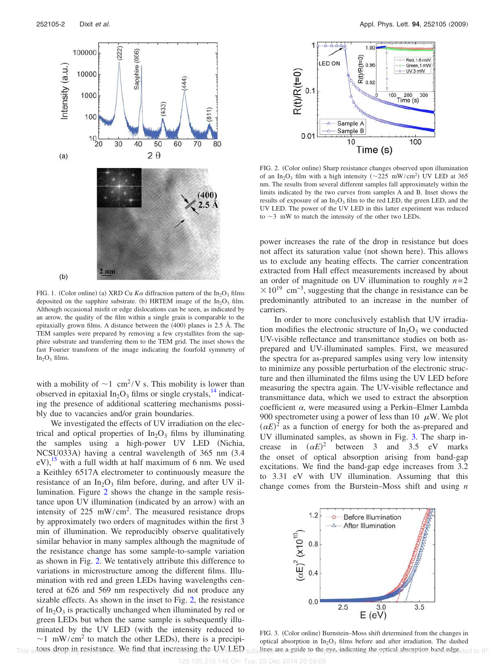

FIG. 1. (Color online) (a) XRD Cu  $K\alpha$  diffraction pattern of the In<sub>2</sub>O<sub>3</sub> films deposited on the sapphire substrate. (b) HRTEM image of the  $In_2O_3$  film. Although occasional misfit or edge dislocations can be seen, as indicated by an arrow, the quality of the film within a single grain is comparable to the epitaxially grown films. A distance between the  $(400)$  planes is 2.5 Å. The TEM samples were prepared by removing a few crystallites from the sapphire substrate and transferring them to the TEM grid. The inset shows the fast Fourier transform of the image indicating the fourfold symmetry of  $In_2O_3$  films.

with a mobility of  $\sim$ 1 cm<sup>2</sup>/V s. This mobility is lower than observed in epitaxial  $In_2O_3$  films or single crystals,  $14$  indicating the presence of additional scattering mechanisms possibly due to vacancies and/or grain boundaries.

We investigated the effects of UV irradiation on the electrical and optical properties of  $In_2O_3$  films by illuminating the samples using a high-power UV LED (Nichia, NCSU033A) having a central wavelength of 365 nm (3.4  $eV$ ,<sup>15</sup> with a full width at half maximum of 6 nm. We used a Keithley 6517A electrometer to continuously measure the resistance of an  $In_2O_3$  film before, during, and after UV illumination. Figure 2 shows the change in the sample resistance upon UV illumination (indicated by an arrow) with an intensity of 225 mW/cm<sup>2</sup>. The measured resistance drops by approximately two orders of magnitudes within the first 3 min of illumination. We reproducibly observe qualitatively similar behavior in many samples although the magnitude of the resistance change has some sample-to-sample variation as shown in Fig. 2. We tentatively attribute this difference to variations in microstructure among the different films. Illumination with red and green LEDs having wavelengths centered at 626 and 569 nm respectively did not produce any sizable effects. As shown in the inset to Fig. 2, the resistance of  $In_2O_3$  is practically unchanged when illuminated by red or green LEDs but when the same sample is subsequently illuminated by the UV LED (with the intensity reduced to  $\sim$ 1 mW/cm<sup>2</sup> to match the other LEDs), there is a precipitous drop in resistance. We find that increasing the UV LED



FIG. 2. (Color online) Sharp resistance changes observed upon illumination of an In<sub>2</sub>O<sub>3</sub> film with a high intensity ( $\sim$ 225 mW/cm<sup>2</sup>) UV LED at 365 nm. The results from several different samples fall approximately within the limits indicated by the two curves from samples A and B. Inset shows the results of exposure of an  $In_2O_3$  film to the red LED, the green LED, and the UV LED. The power of the UV LED in this latter experiment was reduced to  $\sim$ 3 mW to match the intensity of the other two LEDs.

power increases the rate of the drop in resistance but does not affect its saturation value (not shown here). This allows us to exclude any heating effects. The carrier concentration extracted from Hall effect measurements increased by about an order of magnitude on UV illumination to roughly  $n=2$  $\times 10^{19}$  cm<sup>-3</sup>, suggesting that the change in resistance can be predominantly attributed to an increase in the number of carriers.

In order to more conclusively establish that UV irradiation modifies the electronic structure of  $In_2O_3$  we conducted UV-visible reflectance and transmittance studies on both asprepared and UV-illuminated samples. First, we measured the spectra for as-prepared samples using very low intensity to minimize any possible perturbation of the electronic structure and then illuminated the films using the UV LED before measuring the spectra again. The UV-visible reflectance and transmittance data, which we used to extract the absorption coefficient  $\alpha$ , were measured using a Perkin–Elmer Lambda 900 spectrometer using a power of less than 10  $\mu$ W. We plot  $(\alpha E)^2$  as a function of energy for both the as-prepared and UV illuminated samples, as shown in Fig. 3. The sharp increase in  $(\alpha E)^2$  between 3 and 3.5 eV marks the onset of optical absorption arising from band-gap excitations. We find the band-gap edge increases from 3.2 to 3.31 eV with UV illumination. Assuming that this change comes from the Burstein–Moss shift and using *n*



FIG. 3. (Color online) Burnstein-Moss shift determined from the changes in optical absorption in  $In_2O_3$  films before and after irradiation. The dashed This artows drop in resistance. We find that increasing the UV [LED subjective are a guide to the eye, indicating the optical absorption band edge ded to IP: